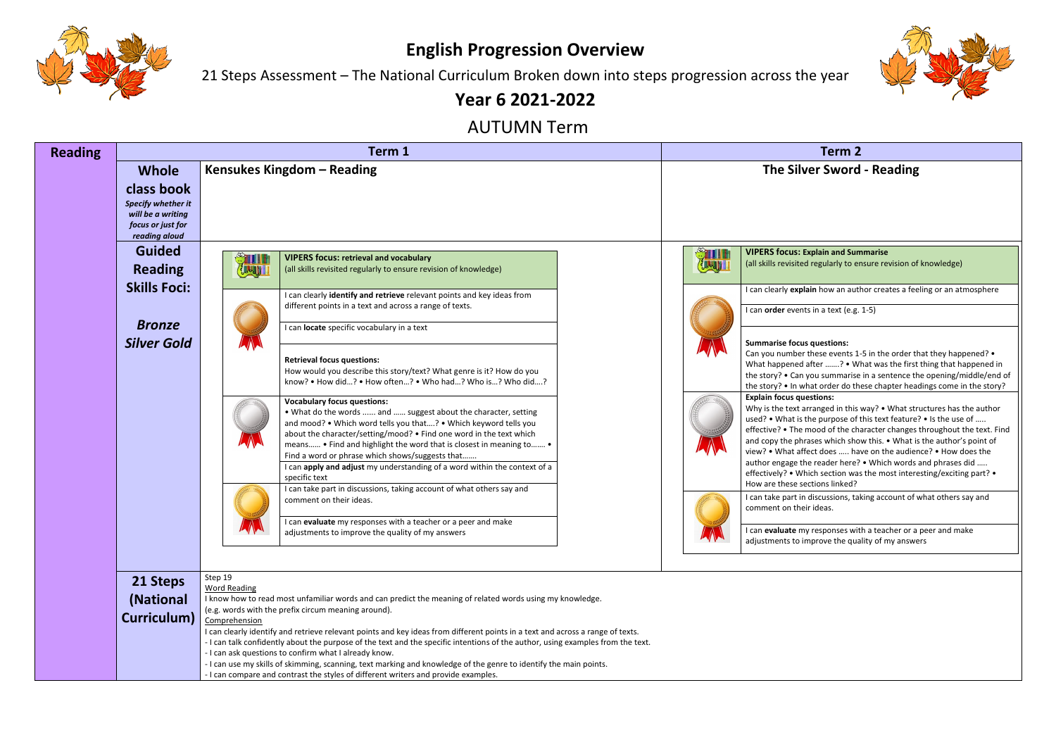

## **English Progression Overview**

21 Steps Assessment – The National Curriculum Broken down into steps progression across the year

## **Year 6 2021-2022**

## AUTUMN Term

### **VIPERS focus: Explain and Summarise** ted regularly to ensure revision of knowledge)

**xplain** how an author creates a feeling or an atmosphere

ents in a text (e.g. 1-5)

### **Summarise focus questions:**

ber these events 1-5 in the order that they happened? • ed after …….? • What was the first thing that happened in an you summarise in a sentence the opening/middle/end of what order do these chapter headings come in the story?

| <b>Reading</b> |                                                                                                             |                                                 | Term 1                                                                                                                                                                                                                                                                                                                                                                                                                                                                                                                                                                                                                                                                                                                                                                                                                                                                                                                                                                                                                                                                                                                                                                             | <b>Term 2</b>                                                                                                                                                                                                                                                                                                                                                                                                                                                                                                                                                                                                                                                                                                                                                                                                                                    |  |  |
|----------------|-------------------------------------------------------------------------------------------------------------|-------------------------------------------------|------------------------------------------------------------------------------------------------------------------------------------------------------------------------------------------------------------------------------------------------------------------------------------------------------------------------------------------------------------------------------------------------------------------------------------------------------------------------------------------------------------------------------------------------------------------------------------------------------------------------------------------------------------------------------------------------------------------------------------------------------------------------------------------------------------------------------------------------------------------------------------------------------------------------------------------------------------------------------------------------------------------------------------------------------------------------------------------------------------------------------------------------------------------------------------|--------------------------------------------------------------------------------------------------------------------------------------------------------------------------------------------------------------------------------------------------------------------------------------------------------------------------------------------------------------------------------------------------------------------------------------------------------------------------------------------------------------------------------------------------------------------------------------------------------------------------------------------------------------------------------------------------------------------------------------------------------------------------------------------------------------------------------------------------|--|--|
|                | <b>Whole</b><br>class book<br>Specify whether it<br>will be a writing<br>focus or just for<br>reading aloud |                                                 | Kensukes Kingdom - Reading                                                                                                                                                                                                                                                                                                                                                                                                                                                                                                                                                                                                                                                                                                                                                                                                                                                                                                                                                                                                                                                                                                                                                         | <b>The Silver Sword</b>                                                                                                                                                                                                                                                                                                                                                                                                                                                                                                                                                                                                                                                                                                                                                                                                                          |  |  |
|                | <b>Guided</b><br><b>Reading</b><br><b>Skills Foci:</b><br><b>Bronze</b><br><b>Silver Gold</b>               | <b>STILLE</b><br>July 1                         | <b>VIPERS focus: retrieval and vocabulary</b><br>(all skills revisited regularly to ensure revision of knowledge)<br>I can clearly identify and retrieve relevant points and key ideas from<br>different points in a text and across a range of texts.<br>I can locate specific vocabulary in a text<br><b>Retrieval focus questions:</b><br>How would you describe this story/text? What genre is it? How do you<br>know? • How did? • How often? • Who had? Who is? Who did?<br><b>Vocabulary focus questions:</b><br>. What do the words  and  suggest about the character, setting<br>and mood? • Which word tells you that? • Which keyword tells you<br>about the character/setting/mood? • Find one word in the text which<br>means • Find and highlight the word that is closest in meaning to •<br>Find a word or phrase which shows/suggests that<br>I can apply and adjust my understanding of a word within the context of a<br>specific text<br>I can take part in discussions, taking account of what others say and<br>comment on their ideas.<br>I can evaluate my responses with a teacher or a peer and make<br>adjustments to improve the quality of my answers | <b>VIPERS focus: Explain and Sun</b><br>STILL<br>BULL<br>(all skills revisited regularly to er<br>I can clearly explain how an autl<br>I can order events in a text (e.g.<br><b>Summarise focus questions:</b><br>Can you number these events 1-<br>What happened after ? • W<br>the story? . Can you summarise<br>the story? . In what order do th<br><b>Explain focus questions:</b><br>Why is the text arranged in this<br>used? • What is the purpose of t<br>effective? • The mood of the cha<br>and copy the phrases which sho<br>view? • What affect does  ha<br>author engage the reader here?<br>effectively? . Which section was<br>How are these sections linked?<br>I can take part in discussions, tal<br>comment on their ideas.<br>I can evaluate my responses wit<br>$\mathbf{v}$ $\mathbf{v}$<br>adjustments to improve the qua |  |  |
|                | 21 Steps<br>(National<br>Curriculum)                                                                        | Step 19<br><b>Word Reading</b><br>Comprehension | I know how to read most unfamiliar words and can predict the meaning of related words using my knowledge.<br>(e.g. words with the prefix circum meaning around).<br>I can clearly identify and retrieve relevant points and key ideas from different points in a text and across a range of texts.<br>- I can talk confidently about the purpose of the text and the specific intentions of the author, using examples from the text.<br>- I can ask questions to confirm what I already know.<br>- I can use my skills of skimming, scanning, text marking and knowledge of the genre to identify the main points.<br>- I can compare and contrast the styles of different writers and provide examples.                                                                                                                                                                                                                                                                                                                                                                                                                                                                          |                                                                                                                                                                                                                                                                                                                                                                                                                                                                                                                                                                                                                                                                                                                                                                                                                                                  |  |  |



## **Kilver Sword - Reading**

### **Explain focus questions:**

t arranged in this way? • What structures has the author is the purpose of this text feature? • Is the use of ….. he mood of the character changes throughout the text. Find phrases which show this.  $\bullet$  What is the author's point of affect does ..... have on the audience? • How does the  $a$ : the reader here? • Which words and phrases did ….. Which section was the most interesting/exciting part? • sections linked?

I in discussions, taking account of what others say and heir ideas.

I my responses with a teacher or a peer and make to improve the quality of my answers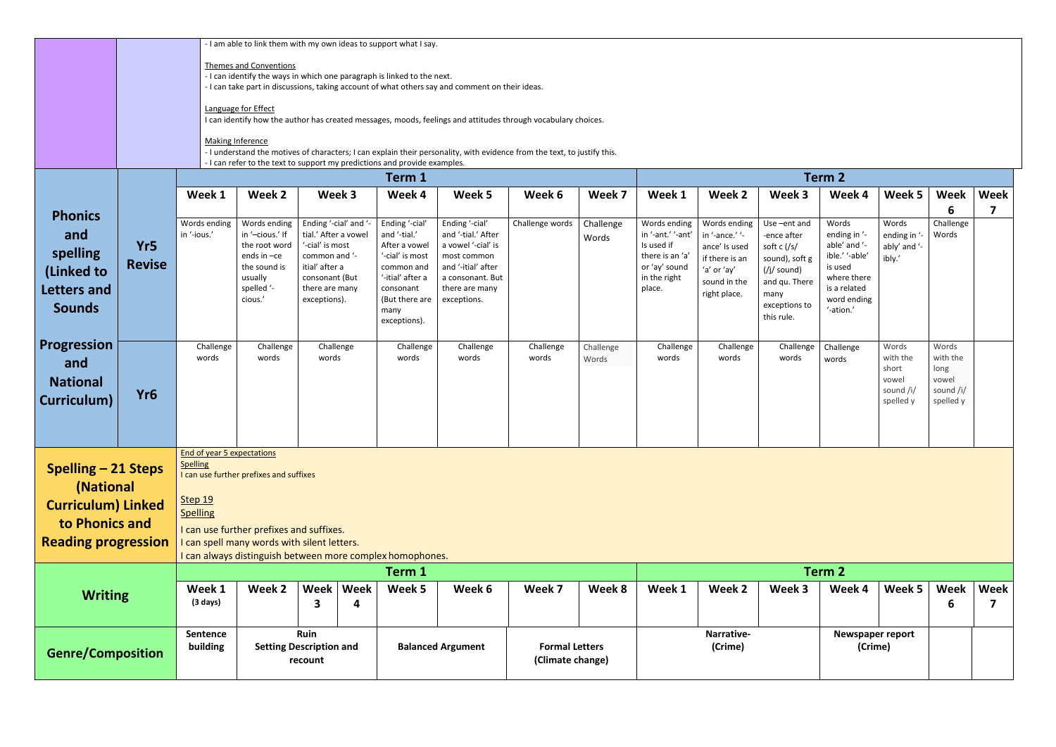|                                                                                                                                                                                                                                                                                                                                                                                                 |                      | - I am able to link them with my own ideas to support what I say.<br><b>Themes and Conventions</b><br>- I can identify the ways in which one paragraph is linked to the next.<br>- I can take part in discussions, taking account of what others say and comment on their ideas.<br>Language for Effect<br>I can identify how the author has created messages, moods, feelings and attitudes through vocabulary choices.<br><b>Making Inference</b><br>- I understand the motives of characters; I can explain their personality, with evidence from the text, to justify this.<br>- I can refer to the text to support my predictions and provide examples. |                                                                                                                     |                                                                                                                                                         |           |                                                                                                                                                             |                                                                                                                                                      |                    |                    |                                                                                                               |                                                                                                                  |                                                                                                                                             |                                                                                                                               |                                                               |                                                              |      |
|-------------------------------------------------------------------------------------------------------------------------------------------------------------------------------------------------------------------------------------------------------------------------------------------------------------------------------------------------------------------------------------------------|----------------------|--------------------------------------------------------------------------------------------------------------------------------------------------------------------------------------------------------------------------------------------------------------------------------------------------------------------------------------------------------------------------------------------------------------------------------------------------------------------------------------------------------------------------------------------------------------------------------------------------------------------------------------------------------------|---------------------------------------------------------------------------------------------------------------------|---------------------------------------------------------------------------------------------------------------------------------------------------------|-----------|-------------------------------------------------------------------------------------------------------------------------------------------------------------|------------------------------------------------------------------------------------------------------------------------------------------------------|--------------------|--------------------|---------------------------------------------------------------------------------------------------------------|------------------------------------------------------------------------------------------------------------------|---------------------------------------------------------------------------------------------------------------------------------------------|-------------------------------------------------------------------------------------------------------------------------------|---------------------------------------------------------------|--------------------------------------------------------------|------|
|                                                                                                                                                                                                                                                                                                                                                                                                 |                      |                                                                                                                                                                                                                                                                                                                                                                                                                                                                                                                                                                                                                                                              |                                                                                                                     |                                                                                                                                                         |           | Term 1                                                                                                                                                      | Term 2                                                                                                                                               |                    |                    |                                                                                                               |                                                                                                                  |                                                                                                                                             |                                                                                                                               |                                                               |                                                              |      |
|                                                                                                                                                                                                                                                                                                                                                                                                 |                      | Week 1                                                                                                                                                                                                                                                                                                                                                                                                                                                                                                                                                                                                                                                       | Week 2                                                                                                              | Week 3                                                                                                                                                  |           | Week 4                                                                                                                                                      | Week 5                                                                                                                                               | Week 6             | Week 7             | Week 1                                                                                                        | Week 2                                                                                                           | Week 3                                                                                                                                      | Week 4                                                                                                                        | Week 5                                                        | Week                                                         | Week |
| <b>Phonics</b><br>and<br>spelling<br>(Linked to<br>Letters and<br><b>Sounds</b>                                                                                                                                                                                                                                                                                                                 | Yr5<br><b>Revise</b> | Words ending<br>in '-ious.'                                                                                                                                                                                                                                                                                                                                                                                                                                                                                                                                                                                                                                  | Words ending<br>in '-cious.' If<br>the root word<br>ends in -ce<br>the sound is<br>usually<br>spelled '-<br>cious.' | Ending '-cial' and '-<br>tial.' After a vowel<br>'-cial' is most<br>common and '-<br>itial' after a<br>consonant (But<br>there are many<br>exceptions). |           | Ending '-cial'<br>and '-tial.'<br>After a vowel<br>'-cial' is most<br>common and<br>'-itial' after a<br>consonant<br>(But there are<br>many<br>exceptions). | Ending '-cial'<br>and '-tial.' After<br>a vowel '-cial' is<br>most common<br>and '-itial' after<br>a consonant. But<br>there are many<br>exceptions. | Challenge words    | Challenge<br>Words | Words ending<br>in '-ant.' '-ant'<br>Is used if<br>there is an 'a'<br>or 'ay' sound<br>in the right<br>place. | Words ending<br>in '-ance.' '-<br>ance' Is used<br>if there is an<br>'a' or 'ay'<br>sound in the<br>right place. | Use-ent and<br>-ence after<br>soft c $\frac{1}{s}$<br>sound), soft g<br>(/j/ sound)<br>and qu. There<br>many<br>exceptions to<br>this rule. | Words<br>ending in '-<br>able' and '-<br>ible.' '-able'<br>is used<br>where there<br>is a related<br>word ending<br>'-ation.' | Words<br>ending in '-<br>ably' and '-<br>ibly.'               | 6<br>Challenge<br>Words                                      | 7    |
| Progression<br>and<br><b>National</b><br>Curriculum)                                                                                                                                                                                                                                                                                                                                            | Yr <sub>6</sub>      | Challenge<br>words                                                                                                                                                                                                                                                                                                                                                                                                                                                                                                                                                                                                                                           | Challenge<br>words                                                                                                  | Challenge<br>words                                                                                                                                      |           | Challenge<br>words                                                                                                                                          | Challenge<br>words                                                                                                                                   | Challenge<br>words | Challenge<br>Words | Challenge<br>words                                                                                            | Challenge<br>words                                                                                               | Challenge<br>words                                                                                                                          | Challenge<br>words                                                                                                            | Words<br>with the<br>short<br>vowel<br>sound /i/<br>spelled y | Words<br>with the<br>long<br>vowel<br>sound /i/<br>spelled y |      |
| <b>End of year 5 expectations</b><br><b>Spelling</b><br>Spelling – 21 Steps<br>I can use further prefixes and suffixes<br>(National<br>Step 19<br><b>Curriculum) Linked</b><br>Spelling<br>to Phonics and<br>I can use further prefixes and suffixes.<br><b>Reading progression</b><br>I can spell many words with silent letters.<br>I can always distinguish between more complex homophones. |                      |                                                                                                                                                                                                                                                                                                                                                                                                                                                                                                                                                                                                                                                              |                                                                                                                     |                                                                                                                                                         |           |                                                                                                                                                             |                                                                                                                                                      |                    |                    |                                                                                                               |                                                                                                                  |                                                                                                                                             |                                                                                                                               |                                                               |                                                              |      |
|                                                                                                                                                                                                                                                                                                                                                                                                 |                      |                                                                                                                                                                                                                                                                                                                                                                                                                                                                                                                                                                                                                                                              |                                                                                                                     |                                                                                                                                                         | Term 1    |                                                                                                                                                             |                                                                                                                                                      |                    |                    |                                                                                                               |                                                                                                                  | Term 2                                                                                                                                      |                                                                                                                               |                                                               |                                                              |      |
| <b>Writing</b>                                                                                                                                                                                                                                                                                                                                                                                  |                      | Week 1<br>$(3 \text{ days})$                                                                                                                                                                                                                                                                                                                                                                                                                                                                                                                                                                                                                                 | Week 2                                                                                                              | Week<br>3                                                                                                                                               | Week<br>4 | Week 5                                                                                                                                                      | Week 6                                                                                                                                               | Week 7             | Week 8             | Week 1                                                                                                        | Week 2                                                                                                           | Week 3                                                                                                                                      | Week 4                                                                                                                        | Week 5                                                        | Week<br>6                                                    | Week |
| <b>Genre/Composition</b>                                                                                                                                                                                                                                                                                                                                                                        |                      | Sentence<br>building                                                                                                                                                                                                                                                                                                                                                                                                                                                                                                                                                                                                                                         |                                                                                                                     | Ruin<br><b>Setting Description and</b><br>recount                                                                                                       |           |                                                                                                                                                             | <b>Balanced Argument</b><br><b>Formal Letters</b><br>(Climate change)                                                                                |                    |                    | Narrative-<br>(Crime)                                                                                         |                                                                                                                  |                                                                                                                                             | Newspaper report<br>(Crime)                                                                                                   |                                                               |                                                              |      |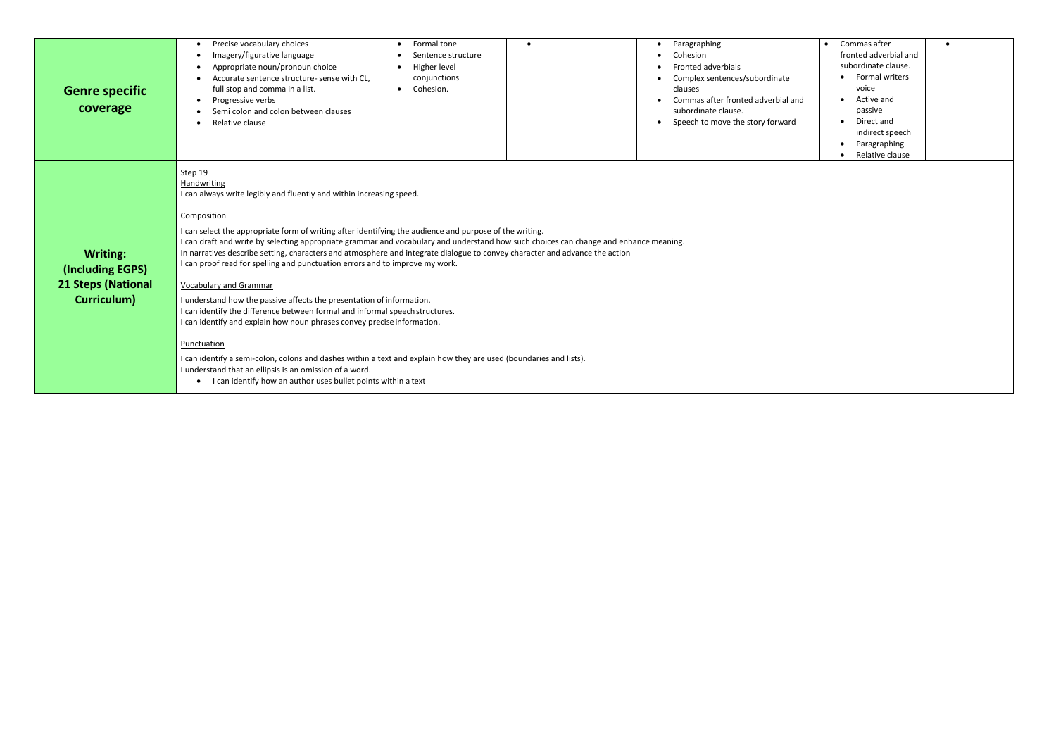| <b>Genre specific</b><br>coverage                                               | Precise vocabulary choices<br>Imagery/figurative language<br>$\bullet$<br>Appropriate noun/pronoun choice<br>$\bullet$<br>Accurate sentence structure- sense with CL,<br>$\bullet$<br>full stop and comma in a list.<br>Progressive verbs<br>$\bullet$<br>Semi colon and colon between clauses<br>Relative clause                                                                                                                                                                                                                                                                                                                                                                                                          | Formal tone<br>$\bullet$<br>Sentence structure<br>Higher level<br>conjunctions<br>Cohesion.                                                                                                                                                                                                                                                                                                | Paragraphing<br>Cohesion<br><b>Fronted adverbials</b><br>Complex sentences/subordinate<br>clauses<br>Commas after fronted adverbial and<br>subordinate clause.<br>Speech to move the story forward | Commas after<br>fronted adverbial and<br>subordinate clause.<br><b>Formal writers</b><br>voice<br>Active and<br>passive<br>Direct and<br>indirect speech<br>Paragraphing<br>Relative clause |  |
|---------------------------------------------------------------------------------|----------------------------------------------------------------------------------------------------------------------------------------------------------------------------------------------------------------------------------------------------------------------------------------------------------------------------------------------------------------------------------------------------------------------------------------------------------------------------------------------------------------------------------------------------------------------------------------------------------------------------------------------------------------------------------------------------------------------------|--------------------------------------------------------------------------------------------------------------------------------------------------------------------------------------------------------------------------------------------------------------------------------------------------------------------------------------------------------------------------------------------|----------------------------------------------------------------------------------------------------------------------------------------------------------------------------------------------------|---------------------------------------------------------------------------------------------------------------------------------------------------------------------------------------------|--|
| <b>Writing:</b><br>(Including EGPS)<br><b>21 Steps (National</b><br>Curriculum) | Step 19<br>Handwriting<br>I can always write legibly and fluently and within increasing speed.<br>Composition<br>I can select the appropriate form of writing after identifying the audience and purpose of the writing.<br>I can proof read for spelling and punctuation errors and to improve my work.<br><b>Vocabulary and Grammar</b><br>I understand how the passive affects the presentation of information.<br>I can identify the difference between formal and informal speech structures.<br>I can identify and explain how noun phrases convey precise information.<br>Punctuation<br>I understand that an ellipsis is an omission of a word.<br>• I can identify how an author uses bullet points within a text | I can draft and write by selecting appropriate grammar and vocabulary and understand how such choices can change and enhance meaning.<br>In narratives describe setting, characters and atmosphere and integrate dialogue to convey character and advance the action<br>I can identify a semi-colon, colons and dashes within a text and explain how they are used (boundaries and lists). |                                                                                                                                                                                                    |                                                                                                                                                                                             |  |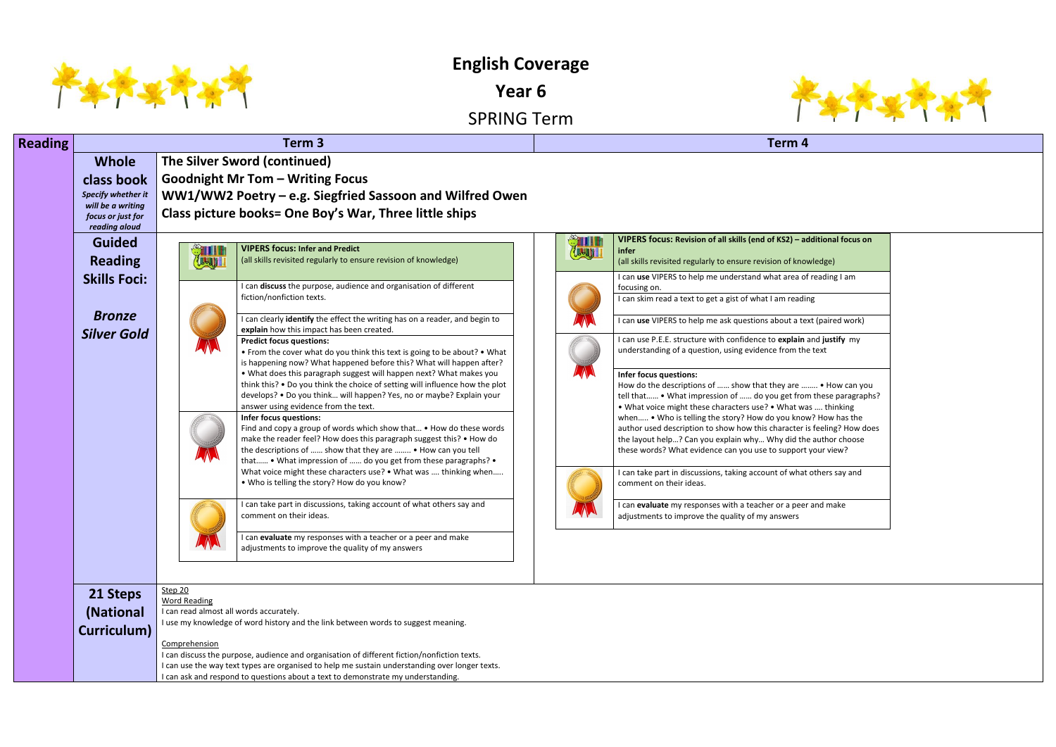

**English Coverage** 

**Year 6**





| <b>Reading</b> |                                        |                                         | Term <sub>3</sub>                                                                                                                                                                           | Term 4        |                                                                                                        |  |  |  |  |  |  |  |
|----------------|----------------------------------------|-----------------------------------------|---------------------------------------------------------------------------------------------------------------------------------------------------------------------------------------------|---------------|--------------------------------------------------------------------------------------------------------|--|--|--|--|--|--|--|
|                | <b>Whole</b>                           |                                         | The Silver Sword (continued)                                                                                                                                                                |               |                                                                                                        |  |  |  |  |  |  |  |
|                | class book                             |                                         | <b>Goodnight Mr Tom - Writing Focus</b>                                                                                                                                                     |               |                                                                                                        |  |  |  |  |  |  |  |
|                | Specify whether it                     |                                         | WW1/WW2 Poetry – e.g. Siegfried Sassoon and Wilfred Owen                                                                                                                                    |               |                                                                                                        |  |  |  |  |  |  |  |
|                | will be a writing<br>focus or just for |                                         | Class picture books= One Boy's War, Three little ships                                                                                                                                      |               |                                                                                                        |  |  |  |  |  |  |  |
|                | reading aloud                          |                                         |                                                                                                                                                                                             |               |                                                                                                        |  |  |  |  |  |  |  |
|                | <b>Guided</b>                          | STILL                                   | <b>VIPERS focus: Infer and Predict</b>                                                                                                                                                      | <b>STILLE</b> | VIPERS focus: Revision of all skills (end of KS2) - ad                                                 |  |  |  |  |  |  |  |
|                | <b>Reading</b>                         | <b>CLL-JULI</b>                         | (all skills revisited regularly to ensure revision of knowledge)                                                                                                                            |               | infer<br>(all skills revisited regularly to ensure revision of know                                    |  |  |  |  |  |  |  |
|                | <b>Skills Foci:</b>                    |                                         |                                                                                                                                                                                             |               | I can use VIPERS to help me understand what area of                                                    |  |  |  |  |  |  |  |
|                |                                        |                                         | I can discuss the purpose, audience and organisation of different<br>fiction/nonfiction texts.                                                                                              |               | focusing on.                                                                                           |  |  |  |  |  |  |  |
|                |                                        |                                         |                                                                                                                                                                                             |               | I can skim read a text to get a gist of what I am readir                                               |  |  |  |  |  |  |  |
|                | <b>Bronze</b>                          |                                         | can clearly identify the effect the writing has on a reader, and begin to<br>explain how this impact has been created.                                                                      |               | I can use VIPERS to help me ask questions about a te                                                   |  |  |  |  |  |  |  |
|                | <b>Silver Gold</b>                     |                                         | <b>Predict focus questions:</b>                                                                                                                                                             |               | I can use P.E.E. structure with confidence to explain                                                  |  |  |  |  |  |  |  |
|                |                                        |                                         | • From the cover what do you think this text is going to be about? • What                                                                                                                   |               | understanding of a question, using evidence from the                                                   |  |  |  |  |  |  |  |
|                |                                        |                                         | is happening now? What happened before this? What will happen after?<br>. What does this paragraph suggest will happen next? What makes you                                                 |               | Infer focus questions:                                                                                 |  |  |  |  |  |  |  |
|                |                                        |                                         | think this? . Do you think the choice of setting will influence how the plot                                                                                                                |               | How do the descriptions of  show that they are                                                         |  |  |  |  |  |  |  |
|                |                                        |                                         | develops? • Do you think will happen? Yes, no or maybe? Explain your<br>answer using evidence from the text.                                                                                |               | tell that . What impression of  do you get fror                                                        |  |  |  |  |  |  |  |
|                |                                        |                                         | Infer focus questions:                                                                                                                                                                      |               | . What voice might these characters use? . What wa<br>when . Who is telling the story? How do you know |  |  |  |  |  |  |  |
|                |                                        |                                         | Find and copy a group of words which show that • How do these words                                                                                                                         |               | author used description to show how this character i                                                   |  |  |  |  |  |  |  |
|                |                                        |                                         | make the reader feel? How does this paragraph suggest this? • How do<br>the descriptions of  show that they are  • How can you tell                                                         |               | the layout help? Can you explain why Why did the<br>these words? What evidence can you use to support  |  |  |  |  |  |  |  |
|                |                                        |                                         | that • What impression of  do you get from these paragraphs? •                                                                                                                              |               |                                                                                                        |  |  |  |  |  |  |  |
|                |                                        |                                         | What voice might these characters use? • What was  thinking when                                                                                                                            |               | I can take part in discussions, taking account of what                                                 |  |  |  |  |  |  |  |
|                |                                        |                                         | . Who is telling the story? How do you know?                                                                                                                                                |               | comment on their ideas.                                                                                |  |  |  |  |  |  |  |
|                |                                        |                                         | can take part in discussions, taking account of what others say and                                                                                                                         |               | I can evaluate my responses with a teacher or a peer                                                   |  |  |  |  |  |  |  |
|                |                                        |                                         | comment on their ideas.                                                                                                                                                                     |               | adjustments to improve the quality of my answers                                                       |  |  |  |  |  |  |  |
|                |                                        |                                         | can evaluate my responses with a teacher or a peer and make                                                                                                                                 |               |                                                                                                        |  |  |  |  |  |  |  |
|                |                                        |                                         | adjustments to improve the quality of my answers                                                                                                                                            |               |                                                                                                        |  |  |  |  |  |  |  |
|                |                                        |                                         |                                                                                                                                                                                             |               |                                                                                                        |  |  |  |  |  |  |  |
|                |                                        | Step 20                                 |                                                                                                                                                                                             |               |                                                                                                        |  |  |  |  |  |  |  |
|                | 21 Steps                               | <b>Word Reading</b>                     |                                                                                                                                                                                             |               |                                                                                                        |  |  |  |  |  |  |  |
|                | (National                              | I can read almost all words accurately. | I use my knowledge of word history and the link between words to suggest meaning.                                                                                                           |               |                                                                                                        |  |  |  |  |  |  |  |
|                | Curriculum)                            |                                         |                                                                                                                                                                                             |               |                                                                                                        |  |  |  |  |  |  |  |
|                |                                        | Comprehension                           |                                                                                                                                                                                             |               |                                                                                                        |  |  |  |  |  |  |  |
|                |                                        |                                         | I can discuss the purpose, audience and organisation of different fiction/nonfiction texts.<br>can use the way text types are organised to help me sustain understanding over longer texts. |               |                                                                                                        |  |  |  |  |  |  |  |

I can ask and respond to questions about a text to demonstrate my understanding.

## $**I**$  **– additional focus on** f knowledge) **I** can of reading I am eading I a text (paired work) **Iain** and justify my m the text  $\mathsf{How}_1$  can you t from these paragraphs? at was .... thinking know? How has the cter is feeling? How does id the author choose port your view? what others say and

peer and make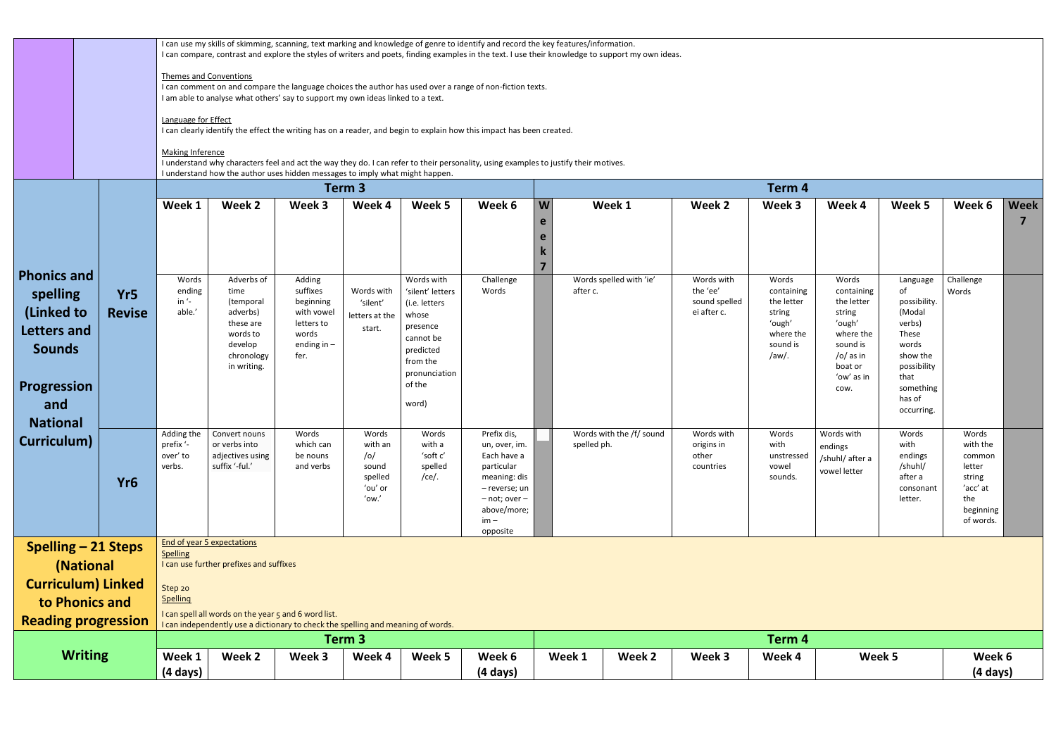|                                                                                                      |                                  |                                            | I can use my skills of skimming, scanning, text marking and knowledge of genre to identify and record the key features/information.<br>I can compare, contrast and explore the styles of writers and poets, finding examples in the text. I use their knowledge to support my own ideas. |                                                                                               |                                                                 |                                                                                                            |                                                                                                                                                      |                                                                                                                                      |                                         |                                                        |                                                                                         |                                                                                                        |                                                                                                 |                                                                                              |                  |
|------------------------------------------------------------------------------------------------------|----------------------------------|--------------------------------------------|------------------------------------------------------------------------------------------------------------------------------------------------------------------------------------------------------------------------------------------------------------------------------------------|-----------------------------------------------------------------------------------------------|-----------------------------------------------------------------|------------------------------------------------------------------------------------------------------------|------------------------------------------------------------------------------------------------------------------------------------------------------|--------------------------------------------------------------------------------------------------------------------------------------|-----------------------------------------|--------------------------------------------------------|-----------------------------------------------------------------------------------------|--------------------------------------------------------------------------------------------------------|-------------------------------------------------------------------------------------------------|----------------------------------------------------------------------------------------------|------------------|
|                                                                                                      |                                  |                                            | <b>Themes and Conventions</b>                                                                                                                                                                                                                                                            |                                                                                               |                                                                 |                                                                                                            |                                                                                                                                                      |                                                                                                                                      |                                         |                                                        |                                                                                         |                                                                                                        |                                                                                                 |                                                                                              |                  |
|                                                                                                      |                                  |                                            | I am able to analyse what others' say to support my own ideas linked to a text.                                                                                                                                                                                                          |                                                                                               |                                                                 |                                                                                                            | I can comment on and compare the language choices the author has used over a range of non-fiction texts.                                             |                                                                                                                                      |                                         |                                                        |                                                                                         |                                                                                                        |                                                                                                 |                                                                                              |                  |
|                                                                                                      |                                  | Language for Effect                        |                                                                                                                                                                                                                                                                                          |                                                                                               |                                                                 |                                                                                                            | I can clearly identify the effect the writing has on a reader, and begin to explain how this impact has been created.                                |                                                                                                                                      |                                         |                                                        |                                                                                         |                                                                                                        |                                                                                                 |                                                                                              |                  |
|                                                                                                      |                                  | <b>Making Inference</b>                    | I understand how the author uses hidden messages to imply what might happen.                                                                                                                                                                                                             |                                                                                               |                                                                 |                                                                                                            |                                                                                                                                                      | I understand why characters feel and act the way they do. I can refer to their personality, using examples to justify their motives. |                                         |                                                        |                                                                                         |                                                                                                        |                                                                                                 |                                                                                              |                  |
|                                                                                                      |                                  |                                            |                                                                                                                                                                                                                                                                                          |                                                                                               | Term 3                                                          |                                                                                                            |                                                                                                                                                      |                                                                                                                                      |                                         |                                                        | Term 4                                                                                  |                                                                                                        |                                                                                                 |                                                                                              |                  |
|                                                                                                      |                                  | Week 1                                     | Week 2                                                                                                                                                                                                                                                                                   | Week 3                                                                                        | Week 4                                                          | Week 5                                                                                                     | Week 6                                                                                                                                               | W<br>e                                                                                                                               | Week 1                                  | Week 2                                                 | Week 3                                                                                  | Week 4                                                                                                 | Week 5                                                                                          | Week 6                                                                                       | <b>Week</b><br>7 |
|                                                                                                      |                                  |                                            |                                                                                                                                                                                                                                                                                          |                                                                                               |                                                                 |                                                                                                            |                                                                                                                                                      | e<br>$\overline{7}$                                                                                                                  |                                         |                                                        |                                                                                         |                                                                                                        |                                                                                                 |                                                                                              |                  |
| <b>Phonics and</b><br>spelling<br>(Linked to<br>Letters and<br><b>Sounds</b>                         | Yr <sub>5</sub><br><b>Revise</b> | Words<br>ending<br>in $\prime$ -<br>able.' | Adverbs of<br>time<br>(temporal<br>adverbs)<br>these are<br>words to<br>develop<br>chronology<br>in writing.                                                                                                                                                                             | Adding<br>suffixes<br>beginning<br>with vowel<br>letters to<br>words<br>ending in $-$<br>fer. | Words with<br>'silent'<br>letters at the<br>start.              | Words with<br>'silent' letters<br>(i.e. letters<br>whose<br>presence<br>cannot be<br>predicted<br>from the | Challenge<br>Words                                                                                                                                   |                                                                                                                                      | Words spelled with 'ie'<br>after c.     | Words with<br>the 'ee'<br>sound spelled<br>ei after c. | Words<br>containing<br>the letter<br>string<br>'ough'<br>where the<br>sound is<br>/aw/. | Words<br>containing<br>the letter<br>string<br>'ough'<br>where the<br>sound is<br>/o/ as in<br>boat or | Language<br>of<br>possibility.<br>(Modal<br>verbs)<br>These<br>words<br>show the<br>possibility | Challenge<br>Words                                                                           |                  |
| Progression<br>and<br><b>National</b>                                                                |                                  |                                            |                                                                                                                                                                                                                                                                                          |                                                                                               |                                                                 | pronunciation<br>of the<br>word)                                                                           |                                                                                                                                                      |                                                                                                                                      |                                         |                                                        |                                                                                         | 'ow' as in<br>COW.                                                                                     | that<br>something<br>has of<br>occurring.                                                       |                                                                                              |                  |
| Curriculum)                                                                                          | Yr <sub>6</sub>                  | prefix '-<br>over' to<br>verbs.            | Adding the Convert nouns<br>or verbs into<br>adjectives using<br>suffix '-ful.'                                                                                                                                                                                                          | Words<br>which can<br>be nouns<br>and verbs                                                   | Words<br>with an<br>/o/<br>sound<br>spelled<br>'ou' or<br>'ow.' | Words<br>with a<br>'soft c'<br>spelled<br>/ce/.                                                            | Prefix dis,<br>un, over, im.<br>Each have a<br>particular<br>meaning: dis<br>- reverse; un<br>$-$ not; over $-$<br>above/more;<br>$im -$<br>opposite |                                                                                                                                      | Words with the /f/ sound<br>spelled ph. | Words with<br>origins in<br>other<br>countries         | Words<br>with<br>unstressed<br>vowel<br>sounds.                                         | Words with<br>endings<br>/shuhl/ after a<br>vowel letter                                               | Words<br>with<br>endings<br>/shuhl/<br>after a<br>consonant<br>letter.                          | Words<br>with the<br>common<br>letter<br>string<br>'acc' at<br>the<br>beginning<br>of words. |                  |
|                                                                                                      | <b>Spelling - 21 Steps</b>       | <b>Spelling</b>                            | <b>End of year 5 expectations</b>                                                                                                                                                                                                                                                        |                                                                                               |                                                                 |                                                                                                            |                                                                                                                                                      |                                                                                                                                      |                                         |                                                        |                                                                                         |                                                                                                        |                                                                                                 |                                                                                              |                  |
|                                                                                                      | (National                        |                                            | I can use further prefixes and suffixes                                                                                                                                                                                                                                                  |                                                                                               |                                                                 |                                                                                                            |                                                                                                                                                      |                                                                                                                                      |                                         |                                                        |                                                                                         |                                                                                                        |                                                                                                 |                                                                                              |                  |
|                                                                                                      | <b>Curriculum) Linked</b>        | Step 20<br><b>Spelling</b>                 |                                                                                                                                                                                                                                                                                          |                                                                                               |                                                                 |                                                                                                            |                                                                                                                                                      |                                                                                                                                      |                                         |                                                        |                                                                                         |                                                                                                        |                                                                                                 |                                                                                              |                  |
| to Phonics and<br>I can spell all words on the year 5 and 6 word list.<br><b>Reading progression</b> |                                  |                                            |                                                                                                                                                                                                                                                                                          |                                                                                               |                                                                 |                                                                                                            |                                                                                                                                                      |                                                                                                                                      |                                         |                                                        |                                                                                         |                                                                                                        |                                                                                                 |                                                                                              |                  |
|                                                                                                      |                                  |                                            | I can independently use a dictionary to check the spelling and meaning of words.                                                                                                                                                                                                         |                                                                                               | Term 3                                                          |                                                                                                            |                                                                                                                                                      |                                                                                                                                      |                                         |                                                        | Term 4                                                                                  |                                                                                                        |                                                                                                 |                                                                                              |                  |
|                                                                                                      | <b>Writing</b>                   | Week 1<br>(4 days)                         | Week 2                                                                                                                                                                                                                                                                                   | Week 3                                                                                        | Week 4                                                          | Week 5                                                                                                     | Week 6<br>(4 days)                                                                                                                                   |                                                                                                                                      | Week 1<br>Week 2                        | Week 3                                                 | Week 4                                                                                  | Week 5                                                                                                 |                                                                                                 | Week 6<br>(4 days)                                                                           |                  |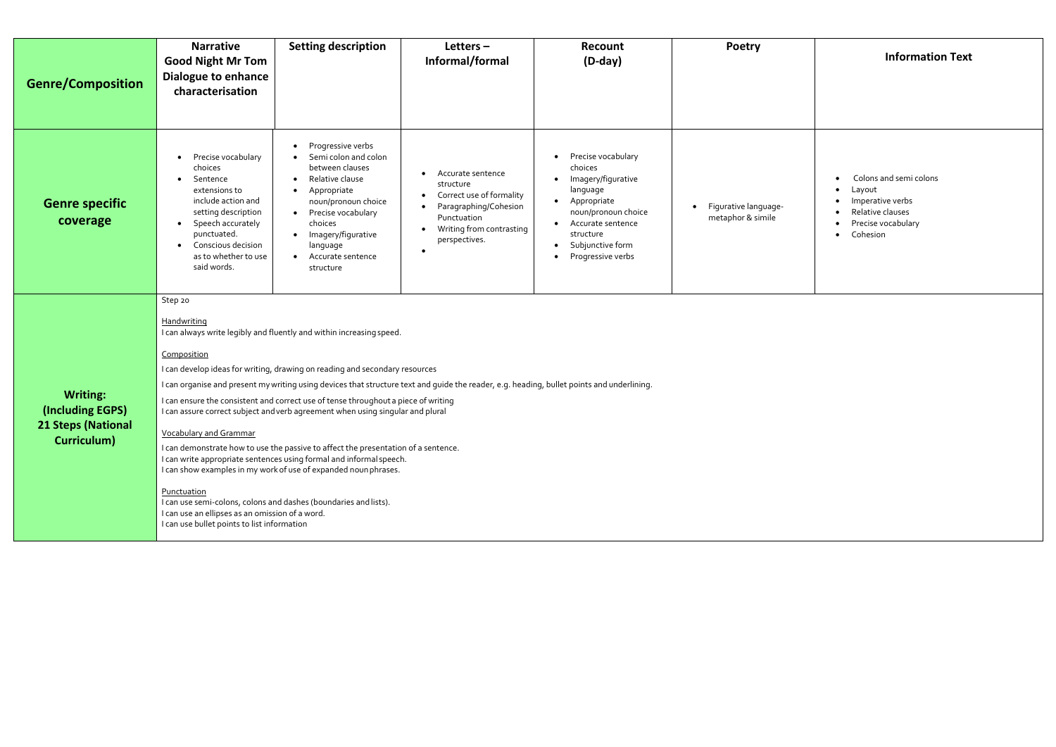

| <b>Genre/Composition</b>                                                        | <b>Narrative</b><br><b>Good Night Mr Tom</b><br>Dialogue to enhance<br>characterisation                                                                                                                                                                      | <b>Setting description</b>                                                                                                                                                                                                                                                                                                                                                                                                                                                                                                                                                                                                      | Letters $-$<br>Informal/formal                                                                                                                  | <b>Recount</b><br>$(D-day)$                                                                                                                                                      | <b>Poetry</b>                             |
|---------------------------------------------------------------------------------|--------------------------------------------------------------------------------------------------------------------------------------------------------------------------------------------------------------------------------------------------------------|---------------------------------------------------------------------------------------------------------------------------------------------------------------------------------------------------------------------------------------------------------------------------------------------------------------------------------------------------------------------------------------------------------------------------------------------------------------------------------------------------------------------------------------------------------------------------------------------------------------------------------|-------------------------------------------------------------------------------------------------------------------------------------------------|----------------------------------------------------------------------------------------------------------------------------------------------------------------------------------|-------------------------------------------|
| <b>Genre specific</b><br>coverage                                               | Precise vocabulary<br>$\bullet$<br>choices<br>Sentence<br>$\bullet$<br>extensions to<br>include action and<br>setting description<br>Speech accurately<br>$\bullet$<br>punctuated.<br>Conscious decision<br>$\bullet$<br>as to whether to use<br>said words. | Progressive verbs<br>Semi colon and colon<br>between clauses<br>Relative clause<br>Appropriate<br>noun/pronoun choice<br>Precise vocabulary<br>choices<br>Imagery/figurative<br>language<br>Accurate sentence<br>structure                                                                                                                                                                                                                                                                                                                                                                                                      | Accurate sentence<br>structure<br>Correct use of formality<br>Paragraphing/Cohesion<br>Punctuation<br>Writing from contrasting<br>perspectives. | Precise vocabulary<br>choices<br>Imagery/figurative<br>language<br>Appropriate<br>noun/pronoun choice<br>Accurate sentence<br>structure<br>Subjunctive form<br>Progressive verbs | Figurative language-<br>metaphor & simile |
| <b>Writing:</b><br>(Including EGPS)<br><b>21 Steps (National</b><br>Curriculum) | Step 20<br>Handwriting<br>Composition<br><b>Vocabulary and Grammar</b><br>Punctuation<br>I can use an ellipses as an omission of a word.<br>I can use bullet points to list information                                                                      | I can always write legibly and fluently and within increasing speed.<br>I can develop ideas for writing, drawing on reading and secondary resources<br>I can ensure the consistent and correct use of tense throughout a piece of writing<br>I can assure correct subject and verb agreement when using singular and plural<br>I can demonstrate how to use the passive to affect the presentation of a sentence.<br>I can write appropriate sentences using formal and informal speech.<br>I can show examples in my work of use of expanded noun phrases.<br>I can use semi-colons, colons and dashes (boundaries and lists). | I can organise and present my writing using devices that structure text and guide the reader, e.g. heading, bullet points and underlining.      |                                                                                                                                                                                  |                                           |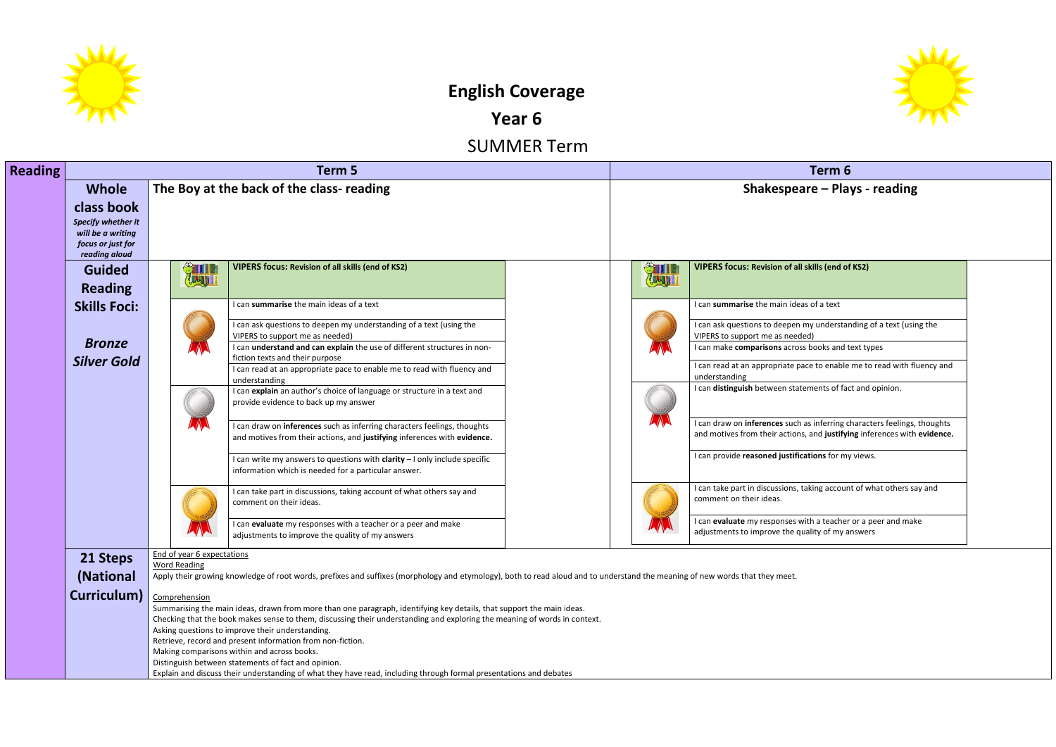

# **English Coverage**

**Year 6**

SUMMER Term

| <b>Reading</b>                                                                |                                                                            | Term 5                                                                                                                                               | Term 6                                                                                                                                                                                                                                                                                                                                                                                                                          |                                                                                                                                                                                                                                                                                                                                                                                                                                                                                                                                                          |  |  |  |
|-------------------------------------------------------------------------------|----------------------------------------------------------------------------|------------------------------------------------------------------------------------------------------------------------------------------------------|---------------------------------------------------------------------------------------------------------------------------------------------------------------------------------------------------------------------------------------------------------------------------------------------------------------------------------------------------------------------------------------------------------------------------------|----------------------------------------------------------------------------------------------------------------------------------------------------------------------------------------------------------------------------------------------------------------------------------------------------------------------------------------------------------------------------------------------------------------------------------------------------------------------------------------------------------------------------------------------------------|--|--|--|
| <b>Whole</b>                                                                  |                                                                            |                                                                                                                                                      |                                                                                                                                                                                                                                                                                                                                                                                                                                 | Shakespeare - Plays - reading                                                                                                                                                                                                                                                                                                                                                                                                                                                                                                                            |  |  |  |
| Specify whether it<br>will be a writing<br>focus or just for<br>reading aloud |                                                                            |                                                                                                                                                      |                                                                                                                                                                                                                                                                                                                                                                                                                                 |                                                                                                                                                                                                                                                                                                                                                                                                                                                                                                                                                          |  |  |  |
| <b>Guided</b><br><b>Reading</b>                                               | Elbert 1                                                                   | <b>VIPERS focus: Revision of all skills (end of KS2)</b>                                                                                             | <b>STILL</b><br>Elbert 1                                                                                                                                                                                                                                                                                                                                                                                                        | <b>VIPERS focus: Revision of all skills (end of KS2)</b>                                                                                                                                                                                                                                                                                                                                                                                                                                                                                                 |  |  |  |
| <b>Skills Foci:</b>                                                           |                                                                            | I can summarise the main ideas of a text                                                                                                             |                                                                                                                                                                                                                                                                                                                                                                                                                                 | I can summarise the main ideas of a text                                                                                                                                                                                                                                                                                                                                                                                                                                                                                                                 |  |  |  |
|                                                                               |                                                                            | I can ask questions to deepen my understanding of a text (using the<br>VIPERS to support me as needed)                                               |                                                                                                                                                                                                                                                                                                                                                                                                                                 | I can ask questions to deepen my understanding of a text (usir<br>VIPERS to support me as needed)                                                                                                                                                                                                                                                                                                                                                                                                                                                        |  |  |  |
|                                                                               |                                                                            |                                                                                                                                                      |                                                                                                                                                                                                                                                                                                                                                                                                                                 | I can make comparisons across books and text types                                                                                                                                                                                                                                                                                                                                                                                                                                                                                                       |  |  |  |
|                                                                               |                                                                            | I can read at an appropriate pace to enable me to read with fluency and                                                                              |                                                                                                                                                                                                                                                                                                                                                                                                                                 | I can read at an appropriate pace to enable me to read with fl<br>understanding                                                                                                                                                                                                                                                                                                                                                                                                                                                                          |  |  |  |
|                                                                               |                                                                            | I can explain an author's choice of language or structure in a text and<br>provide evidence to back up my answer                                     |                                                                                                                                                                                                                                                                                                                                                                                                                                 | I can distinguish between statements of fact and opinion.                                                                                                                                                                                                                                                                                                                                                                                                                                                                                                |  |  |  |
|                                                                               |                                                                            | I can draw on inferences such as inferring characters feelings, thoughts<br>and motives from their actions, and justifying inferences with evidence. |                                                                                                                                                                                                                                                                                                                                                                                                                                 | I can draw on inferences such as inferring characters feelings,<br>and motives from their actions, and justifying inferences with                                                                                                                                                                                                                                                                                                                                                                                                                        |  |  |  |
|                                                                               |                                                                            | I can write my answers to questions with clarity - I only include specific<br>information which is needed for a particular answer.                   |                                                                                                                                                                                                                                                                                                                                                                                                                                 | I can provide reasoned justifications for my views.                                                                                                                                                                                                                                                                                                                                                                                                                                                                                                      |  |  |  |
|                                                                               |                                                                            | I can take part in discussions, taking account of what others say and<br>comment on their ideas.                                                     |                                                                                                                                                                                                                                                                                                                                                                                                                                 | I can take part in discussions, taking account of what others sa<br>comment on their ideas.                                                                                                                                                                                                                                                                                                                                                                                                                                                              |  |  |  |
|                                                                               |                                                                            | I can evaluate my responses with a teacher or a peer and make<br>adjustments to improve the quality of my answers                                    |                                                                                                                                                                                                                                                                                                                                                                                                                                 | I can evaluate my responses with a teacher or a peer and mak<br>adjustments to improve the quality of my answers                                                                                                                                                                                                                                                                                                                                                                                                                                         |  |  |  |
|                                                                               |                                                                            |                                                                                                                                                      |                                                                                                                                                                                                                                                                                                                                                                                                                                 |                                                                                                                                                                                                                                                                                                                                                                                                                                                                                                                                                          |  |  |  |
|                                                                               |                                                                            |                                                                                                                                                      |                                                                                                                                                                                                                                                                                                                                                                                                                                 |                                                                                                                                                                                                                                                                                                                                                                                                                                                                                                                                                          |  |  |  |
| Curriculum)                                                                   |                                                                            |                                                                                                                                                      |                                                                                                                                                                                                                                                                                                                                                                                                                                 |                                                                                                                                                                                                                                                                                                                                                                                                                                                                                                                                                          |  |  |  |
|                                                                               |                                                                            |                                                                                                                                                      |                                                                                                                                                                                                                                                                                                                                                                                                                                 |                                                                                                                                                                                                                                                                                                                                                                                                                                                                                                                                                          |  |  |  |
|                                                                               |                                                                            |                                                                                                                                                      |                                                                                                                                                                                                                                                                                                                                                                                                                                 |                                                                                                                                                                                                                                                                                                                                                                                                                                                                                                                                                          |  |  |  |
|                                                                               |                                                                            |                                                                                                                                                      |                                                                                                                                                                                                                                                                                                                                                                                                                                 |                                                                                                                                                                                                                                                                                                                                                                                                                                                                                                                                                          |  |  |  |
|                                                                               |                                                                            |                                                                                                                                                      |                                                                                                                                                                                                                                                                                                                                                                                                                                 |                                                                                                                                                                                                                                                                                                                                                                                                                                                                                                                                                          |  |  |  |
|                                                                               |                                                                            |                                                                                                                                                      |                                                                                                                                                                                                                                                                                                                                                                                                                                 |                                                                                                                                                                                                                                                                                                                                                                                                                                                                                                                                                          |  |  |  |
|                                                                               | class book<br><b>Bronze</b><br><b>Silver Gold</b><br>21 Steps<br>(National | <b>Word Reading</b><br>Comprehension                                                                                                                 | The Boy at the back of the class- reading<br>I can understand and can explain the use of different structures in non-<br>fiction texts and their purpose<br>understanding<br>End of year 6 expectations<br>Asking questions to improve their understanding.<br>Retrieve, record and present information from non-fiction.<br>Making comparisons within and across books.<br>Distinguish between statements of fact and opinion. | Apply their growing knowledge of root words, prefixes and suffixes (morphology and etymology), both to read aloud and to understand the meaning of new words that they meet.<br>Summarising the main ideas, drawn from more than one paragraph, identifying key details, that support the main ideas.<br>Checking that the book makes sense to them, discussing their understanding and exploring the meaning of words in context.<br>Explain and discuss their understanding of what they have read, including through formal presentations and debates |  |  |  |



I can as text (using the

I can read with fluency and

**I can draw on the draw on the such states** ferences with **evidence.** 

what others say and

peer and make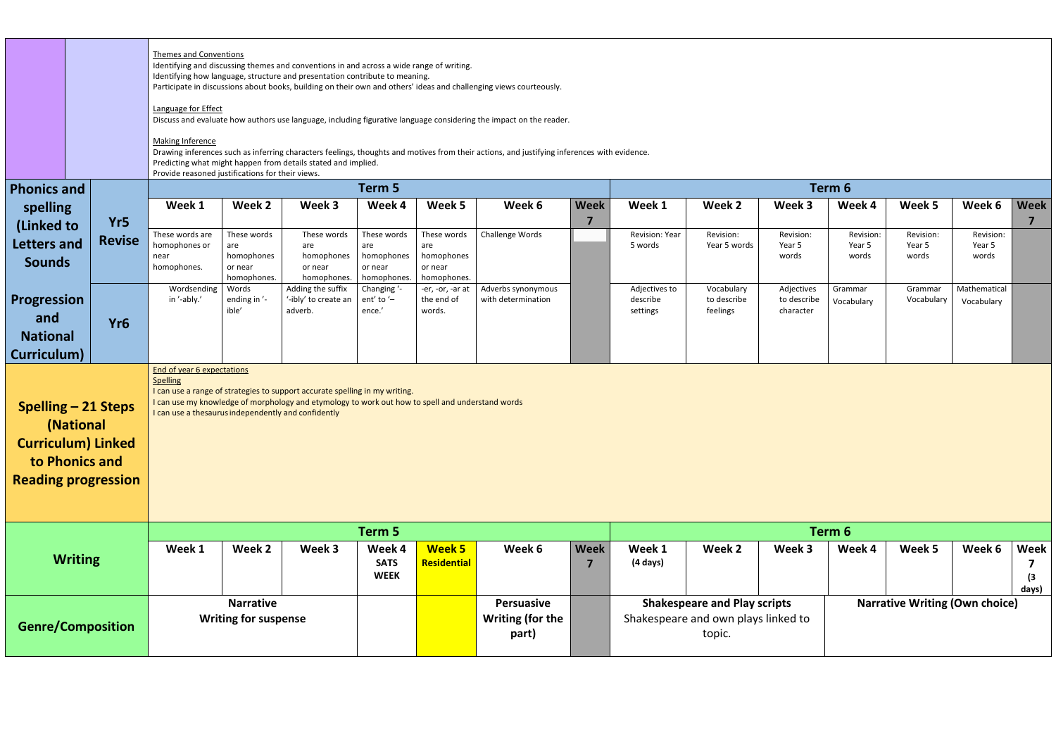|                                |                                                                                                                      | Language for Effect<br><b>Making Inference</b>                                                       | <b>Themes and Conventions</b><br>Identifying and discussing themes and conventions in and across a wide range of writing.<br>Identifying how language, structure and presentation contribute to meaning.<br>Participate in discussions about books, building on their own and others' ideas and challenging views courteously.<br>Discuss and evaluate how authors use language, including figurative language considering the impact on the reader.<br>Drawing inferences such as inferring characters feelings, thoughts and motives from their actions, and justifying inferences with evidence.<br>Predicting what might happen from details stated and implied.<br>Provide reasoned justifications for their views. |                                                                                                                                                                                 |                                      |                                 |                                                       |             |                                                                                                                               |                         |                          |                 |                 |                 |                                          |
|--------------------------------|----------------------------------------------------------------------------------------------------------------------|------------------------------------------------------------------------------------------------------|--------------------------------------------------------------------------------------------------------------------------------------------------------------------------------------------------------------------------------------------------------------------------------------------------------------------------------------------------------------------------------------------------------------------------------------------------------------------------------------------------------------------------------------------------------------------------------------------------------------------------------------------------------------------------------------------------------------------------|---------------------------------------------------------------------------------------------------------------------------------------------------------------------------------|--------------------------------------|---------------------------------|-------------------------------------------------------|-------------|-------------------------------------------------------------------------------------------------------------------------------|-------------------------|--------------------------|-----------------|-----------------|-----------------|------------------------------------------|
| <b>Phonics and</b>             |                                                                                                                      |                                                                                                      |                                                                                                                                                                                                                                                                                                                                                                                                                                                                                                                                                                                                                                                                                                                          |                                                                                                                                                                                 | Term 5                               |                                 |                                                       |             | Term 6                                                                                                                        |                         |                          |                 |                 |                 |                                          |
| spelling                       |                                                                                                                      | Week 1                                                                                               | Week 2                                                                                                                                                                                                                                                                                                                                                                                                                                                                                                                                                                                                                                                                                                                   | Week 3                                                                                                                                                                          | Week 4                               | Week 5                          | Week 6                                                | <b>Week</b> | Week 1                                                                                                                        | Week 2                  | Week 3                   | Week 4          | Week 5          | Week 6          | <b>Week</b>                              |
| (Linked to                     | Yr5                                                                                                                  | These words are                                                                                      | These words                                                                                                                                                                                                                                                                                                                                                                                                                                                                                                                                                                                                                                                                                                              | These words                                                                                                                                                                     | These words                          | These words                     | Challenge Words                                       | 7           | Revision: Year                                                                                                                | Revision:               | Revision:                | Revision:       | Revision:       | Revision:       | $\overline{7}$                           |
| <b>Letters and</b>             | <b>Revise</b>                                                                                                        | homophones or<br>near                                                                                | are<br>homophones                                                                                                                                                                                                                                                                                                                                                                                                                                                                                                                                                                                                                                                                                                        | are<br>homophones                                                                                                                                                               | are<br>homophones                    | are<br>homophones               |                                                       |             | 5 words                                                                                                                       | Year 5 words            | Year 5<br>words          | Year 5<br>words | Year 5<br>words | Year 5<br>words |                                          |
| <b>Sounds</b>                  |                                                                                                                      | homophones.                                                                                          | or near                                                                                                                                                                                                                                                                                                                                                                                                                                                                                                                                                                                                                                                                                                                  | or near                                                                                                                                                                         | or near                              | or near                         |                                                       |             |                                                                                                                               |                         |                          |                 |                 |                 |                                          |
|                                |                                                                                                                      | Wordsending                                                                                          | homophones.<br>Words                                                                                                                                                                                                                                                                                                                                                                                                                                                                                                                                                                                                                                                                                                     | homophones.<br>Adding the suffix                                                                                                                                                | homophones.<br>Changing '-           | homophones.<br>-er, -or, -ar at | Adverbs synonymous                                    |             | Adjectives to                                                                                                                 | Vocabulary              | Adjectives               | Grammar         | Grammar         | Mathematical    |                                          |
| <b>Progression</b>             |                                                                                                                      | in '-ably.'                                                                                          | ending in '-<br>ible'                                                                                                                                                                                                                                                                                                                                                                                                                                                                                                                                                                                                                                                                                                    | '-ibly' to create an<br>adverb.                                                                                                                                                 | ent' to '-<br>ence.'                 | the end of<br>words.            | with determination                                    |             | describe<br>settings                                                                                                          | to describe<br>feelings | to describe<br>character | Vocabulary      | Vocabulary      | Vocabulary      |                                          |
| and                            | Yr <sub>6</sub>                                                                                                      |                                                                                                      |                                                                                                                                                                                                                                                                                                                                                                                                                                                                                                                                                                                                                                                                                                                          |                                                                                                                                                                                 |                                      |                                 |                                                       |             |                                                                                                                               |                         |                          |                 |                 |                 |                                          |
| <b>National</b><br>Curriculum) |                                                                                                                      |                                                                                                      |                                                                                                                                                                                                                                                                                                                                                                                                                                                                                                                                                                                                                                                                                                                          |                                                                                                                                                                                 |                                      |                                 |                                                       |             |                                                                                                                               |                         |                          |                 |                 |                 |                                          |
|                                | <b>Spelling - 21 Steps</b><br>(National<br><b>Curriculum) Linked</b><br>to Phonics and<br><b>Reading progression</b> | <b>End of year 6 expectations</b><br>Spelling<br>I can use a thesaurus independently and confidently |                                                                                                                                                                                                                                                                                                                                                                                                                                                                                                                                                                                                                                                                                                                          | I can use a range of strategies to support accurate spelling in my writing.<br>I can use my knowledge of morphology and etymology to work out how to spell and understand words |                                      |                                 |                                                       |             |                                                                                                                               |                         |                          |                 |                 |                 |                                          |
|                                |                                                                                                                      |                                                                                                      |                                                                                                                                                                                                                                                                                                                                                                                                                                                                                                                                                                                                                                                                                                                          |                                                                                                                                                                                 | Term 5                               |                                 |                                                       |             |                                                                                                                               |                         |                          | Term 6          |                 |                 |                                          |
|                                | <b>Writing</b>                                                                                                       | Week 1                                                                                               | Week 2                                                                                                                                                                                                                                                                                                                                                                                                                                                                                                                                                                                                                                                                                                                   | Week 3                                                                                                                                                                          | Week 4<br><b>SATS</b><br><b>WEEK</b> | Week 5<br>Residential           | Week 6                                                | <b>Week</b> | Week 1<br>$(4 \text{ days})$                                                                                                  | Week 2                  | Week 3                   | Week 4          | Week 5          | Week 6          | <b>Week</b><br>$\left(3\right)$<br>days) |
| <b>Genre/Composition</b>       |                                                                                                                      |                                                                                                      | <b>Narrative</b><br><b>Writing for suspense</b>                                                                                                                                                                                                                                                                                                                                                                                                                                                                                                                                                                                                                                                                          |                                                                                                                                                                                 |                                      |                                 | <b>Persuasive</b><br><b>Writing (for the</b><br>part) |             | <b>Shakespeare and Play scripts</b><br><b>Narrative Writing (Own choice)</b><br>Shakespeare and own plays linked to<br>topic. |                         |                          |                 |                 |                 |                                          |